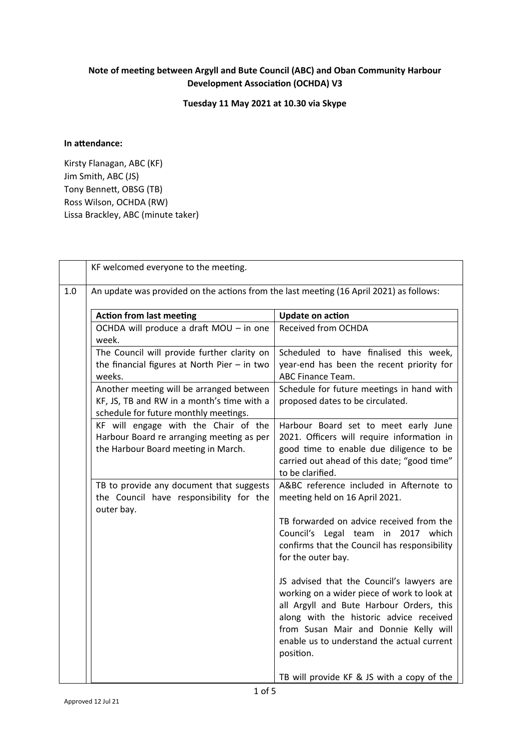## **Note of meeting between Argyll and Bute Council (ABC) and Oban Community Harbour Development Association (OCHDA) V3**

**Tuesday 11 May 2021 at 10.30 via Skype**

## **In attendance:**

Kirsty Flanagan, ABC (KF) Jim Smith, ABC (JS) Tony Bennett, OBSG (TB) Ross Wilson, OCHDA (RW) Lissa Brackley, ABC (minute taker)

|     | KF welcomed everyone to the meeting.                                                                                            |                                                                                                                                                                                                                                                                                     |  |  |  |
|-----|---------------------------------------------------------------------------------------------------------------------------------|-------------------------------------------------------------------------------------------------------------------------------------------------------------------------------------------------------------------------------------------------------------------------------------|--|--|--|
| 1.0 | An update was provided on the actions from the last meeting (16 April 2021) as follows:                                         |                                                                                                                                                                                                                                                                                     |  |  |  |
|     | <b>Action from last meeting</b>                                                                                                 | <b>Update on action</b>                                                                                                                                                                                                                                                             |  |  |  |
|     | OCHDA will produce a draft MOU - in one<br>week.                                                                                | <b>Received from OCHDA</b>                                                                                                                                                                                                                                                          |  |  |  |
|     | The Council will provide further clarity on<br>the financial figures at North Pier $-$ in two<br>weeks.                         | Scheduled to have finalised this week,<br>year-end has been the recent priority for<br>ABC Finance Team.                                                                                                                                                                            |  |  |  |
|     | Another meeting will be arranged between<br>KF, JS, TB and RW in a month's time with a<br>schedule for future monthly meetings. | Schedule for future meetings in hand with<br>proposed dates to be circulated.                                                                                                                                                                                                       |  |  |  |
|     | KF will engage with the Chair of the<br>Harbour Board re arranging meeting as per<br>the Harbour Board meeting in March.        | Harbour Board set to meet early June<br>2021. Officers will require information in<br>good time to enable due diligence to be<br>carried out ahead of this date; "good time"<br>to be clarified.                                                                                    |  |  |  |
|     | TB to provide any document that suggests<br>the Council have responsibility for the<br>outer bay.                               | A&BC reference included in Afternote to<br>meeting held on 16 April 2021.                                                                                                                                                                                                           |  |  |  |
|     |                                                                                                                                 | TB forwarded on advice received from the<br>Council's Legal team in 2017<br>which<br>confirms that the Council has responsibility<br>for the outer bay.                                                                                                                             |  |  |  |
|     |                                                                                                                                 | JS advised that the Council's lawyers are<br>working on a wider piece of work to look at<br>all Argyll and Bute Harbour Orders, this<br>along with the historic advice received<br>from Susan Mair and Donnie Kelly will<br>enable us to understand the actual current<br>position. |  |  |  |
|     |                                                                                                                                 | TB will provide KF & JS with a copy of the                                                                                                                                                                                                                                          |  |  |  |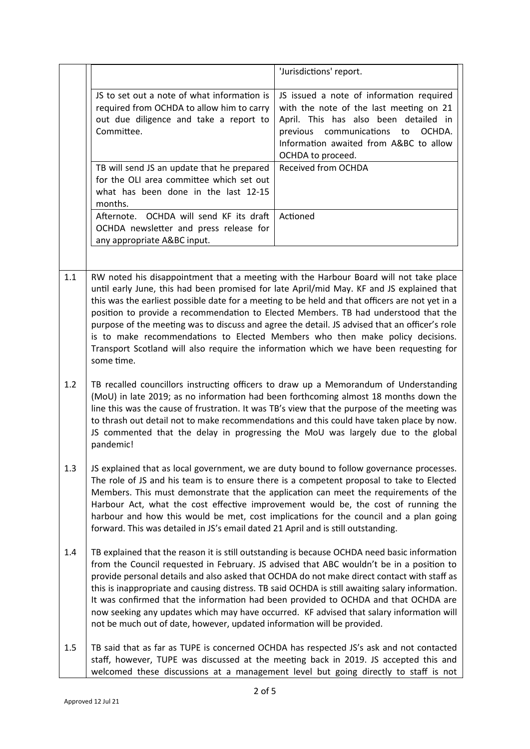|     |                                                                                                                                                                                                                                                                                                                                                                                                                                                                                                                                                                                                                                                                        | 'Jurisdictions' report.                                                                                                                                                                                                                |  |
|-----|------------------------------------------------------------------------------------------------------------------------------------------------------------------------------------------------------------------------------------------------------------------------------------------------------------------------------------------------------------------------------------------------------------------------------------------------------------------------------------------------------------------------------------------------------------------------------------------------------------------------------------------------------------------------|----------------------------------------------------------------------------------------------------------------------------------------------------------------------------------------------------------------------------------------|--|
|     | JS to set out a note of what information is<br>required from OCHDA to allow him to carry<br>out due diligence and take a report to<br>Committee.                                                                                                                                                                                                                                                                                                                                                                                                                                                                                                                       | JS issued a note of information required<br>with the note of the last meeting on 21<br>April. This has also been detailed in<br>previous communications<br>OCHDA.<br>to<br>Information awaited from A&BC to allow<br>OCHDA to proceed. |  |
|     | TB will send JS an update that he prepared<br>for the OLI area committee which set out<br>what has been done in the last 12-15<br>months.                                                                                                                                                                                                                                                                                                                                                                                                                                                                                                                              | Received from OCHDA                                                                                                                                                                                                                    |  |
|     | Afternote. OCHDA will send KF its draft<br>OCHDA newsletter and press release for<br>any appropriate A&BC input.                                                                                                                                                                                                                                                                                                                                                                                                                                                                                                                                                       | Actioned                                                                                                                                                                                                                               |  |
|     |                                                                                                                                                                                                                                                                                                                                                                                                                                                                                                                                                                                                                                                                        |                                                                                                                                                                                                                                        |  |
| 1.1 | RW noted his disappointment that a meeting with the Harbour Board will not take place<br>until early June, this had been promised for late April/mid May. KF and JS explained that<br>this was the earliest possible date for a meeting to be held and that officers are not yet in a<br>position to provide a recommendation to Elected Members. TB had understood that the<br>purpose of the meeting was to discuss and agree the detail. JS advised that an officer's role<br>is to make recommendations to Elected Members who then make policy decisions.<br>Transport Scotland will also require the information which we have been requesting for<br>some time. |                                                                                                                                                                                                                                        |  |
| 1.2 | TB recalled councillors instructing officers to draw up a Memorandum of Understanding<br>(MoU) in late 2019; as no information had been forthcoming almost 18 months down the<br>line this was the cause of frustration. It was TB's view that the purpose of the meeting was<br>to thrash out detail not to make recommendations and this could have taken place by now.<br>JS commented that the delay in progressing the MoU was largely due to the global<br>pandemic!                                                                                                                                                                                             |                                                                                                                                                                                                                                        |  |
| 1.3 | JS explained that as local government, we are duty bound to follow governance processes.<br>The role of JS and his team is to ensure there is a competent proposal to take to Elected<br>Members. This must demonstrate that the application can meet the requirements of the<br>Harbour Act, what the cost effective improvement would be, the cost of running the<br>harbour and how this would be met, cost implications for the council and a plan going<br>forward. This was detailed in JS's email dated 21 April and is still outstanding.                                                                                                                      |                                                                                                                                                                                                                                        |  |
| 1.4 | TB explained that the reason it is still outstanding is because OCHDA need basic information<br>from the Council requested in February. JS advised that ABC wouldn't be in a position to<br>provide personal details and also asked that OCHDA do not make direct contact with staff as<br>this is inappropriate and causing distress. TB said OCHDA is still awaiting salary information.<br>It was confirmed that the information had been provided to OCHDA and that OCHDA are<br>now seeking any updates which may have occurred. KF advised that salary information will<br>not be much out of date, however, updated information will be provided.               |                                                                                                                                                                                                                                        |  |
| 1.5 | TB said that as far as TUPE is concerned OCHDA has respected JS's ask and not contacted<br>staff, however, TUPE was discussed at the meeting back in 2019. JS accepted this and<br>welcomed these discussions at a management level but going directly to staff is not                                                                                                                                                                                                                                                                                                                                                                                                 |                                                                                                                                                                                                                                        |  |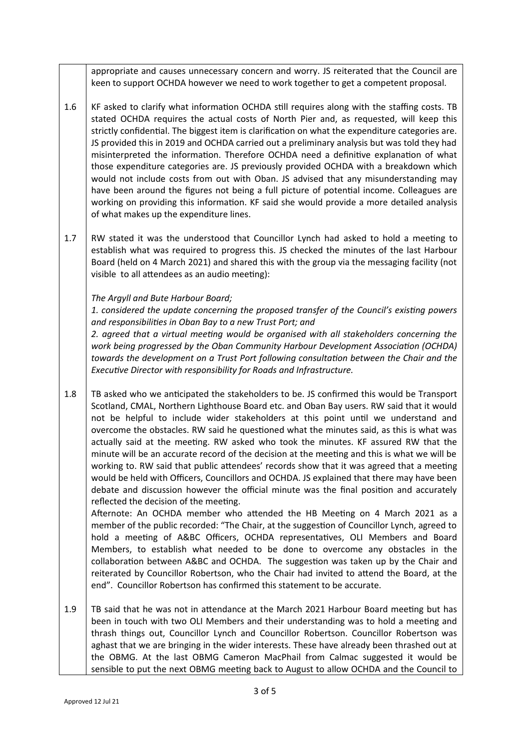appropriate and causes unnecessary concern and worry. JS reiterated that the Council are keen to support OCHDA however we need to work together to get a competent proposal.

- 1.6 KF asked to clarify what information OCHDA still requires along with the staffing costs. TB stated OCHDA requires the actual costs of North Pier and, as requested, will keep this strictly confidential. The biggest item is clarification on what the expenditure categories are. JS provided this in 2019 and OCHDA carried out a preliminary analysis but was told they had misinterpreted the information. Therefore OCHDA need a definitive explanation of what those expenditure categories are. JS previously provided OCHDA with a breakdown which would not include costs from out with Oban. JS advised that any misunderstanding may have been around the figures not being a full picture of potential income. Colleagues are working on providing this information. KF said she would provide a more detailed analysis of what makes up the expenditure lines.
- 1.7 RW stated it was the understood that Councillor Lynch had asked to hold a meeting to establish what was required to progress this. JS checked the minutes of the last Harbour Board (held on 4 March 2021) and shared this with the group via the messaging facility (not visible to all attendees as an audio meeting):

## *The Argyll and Bute Harbour Board;*

*1. considered the update concerning the proposed transfer of the Council's existing powers and responsibilities in Oban Bay to a new Trust Port; and* 

*2. agreed that a virtual meeting would be organised with all stakeholders concerning the work being progressed by the Oban Community Harbour Development Association (OCHDA) towards the development on a Trust Port following consultation between the Chair and the Executive Director with responsibility for Roads and Infrastructure.*

1.8 TB asked who we anticipated the stakeholders to be. JS confirmed this would be Transport Scotland, CMAL, Northern Lighthouse Board etc. and Oban Bay users. RW said that it would not be helpful to include wider stakeholders at this point until we understand and overcome the obstacles. RW said he questioned what the minutes said, as this is what was actually said at the meeting. RW asked who took the minutes. KF assured RW that the minute will be an accurate record of the decision at the meeting and this is what we will be working to. RW said that public attendees' records show that it was agreed that a meeting would be held with Officers, Councillors and OCHDA. JS explained that there may have been debate and discussion however the official minute was the final position and accurately reflected the decision of the meeting.

Afternote: An OCHDA member who attended the HB Meeting on 4 March 2021 as a member of the public recorded: "The Chair, at the suggestion of Councillor Lynch, agreed to hold a meeting of A&BC Officers, OCHDA representatives, OLI Members and Board Members, to establish what needed to be done to overcome any obstacles in the collaboration between A&BC and OCHDA. The suggestion was taken up by the Chair and reiterated by Councillor Robertson, who the Chair had invited to attend the Board, at the end". Councillor Robertson has confirmed this statement to be accurate.

1.9 TB said that he was not in attendance at the March 2021 Harbour Board meeting but has been in touch with two OLI Members and their understanding was to hold a meeting and thrash things out, Councillor Lynch and Councillor Robertson. Councillor Robertson was aghast that we are bringing in the wider interests. These have already been thrashed out at the OBMG. At the last OBMG Cameron MacPhail from Calmac suggested it would be sensible to put the next OBMG meeting back to August to allow OCHDA and the Council to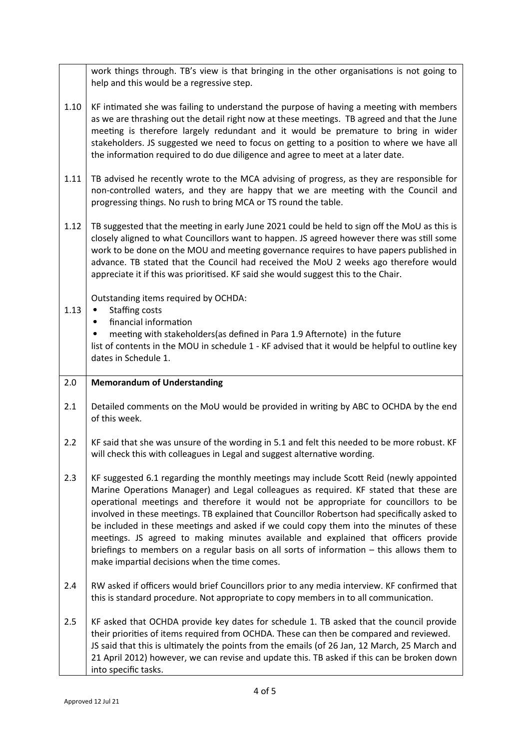|      | work things through. TB's view is that bringing in the other organisations is not going to<br>help and this would be a regressive step.                                                                                                                                                                                                                                                                                                                                                                                                                                                                                                                                                                    |  |
|------|------------------------------------------------------------------------------------------------------------------------------------------------------------------------------------------------------------------------------------------------------------------------------------------------------------------------------------------------------------------------------------------------------------------------------------------------------------------------------------------------------------------------------------------------------------------------------------------------------------------------------------------------------------------------------------------------------------|--|
| 1.10 | KF intimated she was failing to understand the purpose of having a meeting with members<br>as we are thrashing out the detail right now at these meetings. TB agreed and that the June<br>meeting is therefore largely redundant and it would be premature to bring in wider<br>stakeholders. JS suggested we need to focus on getting to a position to where we have all<br>the information required to do due diligence and agree to meet at a later date.                                                                                                                                                                                                                                               |  |
| 1.11 | TB advised he recently wrote to the MCA advising of progress, as they are responsible for<br>non-controlled waters, and they are happy that we are meeting with the Council and<br>progressing things. No rush to bring MCA or TS round the table.                                                                                                                                                                                                                                                                                                                                                                                                                                                         |  |
| 1.12 | TB suggested that the meeting in early June 2021 could be held to sign off the MoU as this is<br>closely aligned to what Councillors want to happen. JS agreed however there was still some<br>work to be done on the MOU and meeting governance requires to have papers published in<br>advance. TB stated that the Council had received the MoU 2 weeks ago therefore would<br>appreciate it if this was prioritised. KF said she would suggest this to the Chair.                                                                                                                                                                                                                                       |  |
| 1.13 | Outstanding items required by OCHDA:<br>Staffing costs<br>$\bullet$<br>financial information<br>meeting with stakeholders(as defined in Para 1.9 Afternote) in the future<br>list of contents in the MOU in schedule 1 - KF advised that it would be helpful to outline key<br>dates in Schedule 1.                                                                                                                                                                                                                                                                                                                                                                                                        |  |
| 2.0  | <b>Memorandum of Understanding</b>                                                                                                                                                                                                                                                                                                                                                                                                                                                                                                                                                                                                                                                                         |  |
| 2.1  | Detailed comments on the MoU would be provided in writing by ABC to OCHDA by the end<br>of this week.                                                                                                                                                                                                                                                                                                                                                                                                                                                                                                                                                                                                      |  |
| 2.2  | KF said that she was unsure of the wording in 5.1 and felt this needed to be more robust. KF<br>will check this with colleagues in Legal and suggest alternative wording.                                                                                                                                                                                                                                                                                                                                                                                                                                                                                                                                  |  |
| 2.3  | KF suggested 6.1 regarding the monthly meetings may include Scott Reid (newly appointed<br>Marine Operations Manager) and Legal colleagues as required. KF stated that these are<br>operational meetings and therefore it would not be appropriate for councillors to be<br>involved in these meetings. TB explained that Councillor Robertson had specifically asked to<br>be included in these meetings and asked if we could copy them into the minutes of these<br>meetings. JS agreed to making minutes available and explained that officers provide<br>briefings to members on a regular basis on all sorts of information $-$ this allows them to<br>make impartial decisions when the time comes. |  |
| 2.4  | RW asked if officers would brief Councillors prior to any media interview. KF confirmed that<br>this is standard procedure. Not appropriate to copy members in to all communication.                                                                                                                                                                                                                                                                                                                                                                                                                                                                                                                       |  |
| 2.5  | KF asked that OCHDA provide key dates for schedule 1. TB asked that the council provide                                                                                                                                                                                                                                                                                                                                                                                                                                                                                                                                                                                                                    |  |